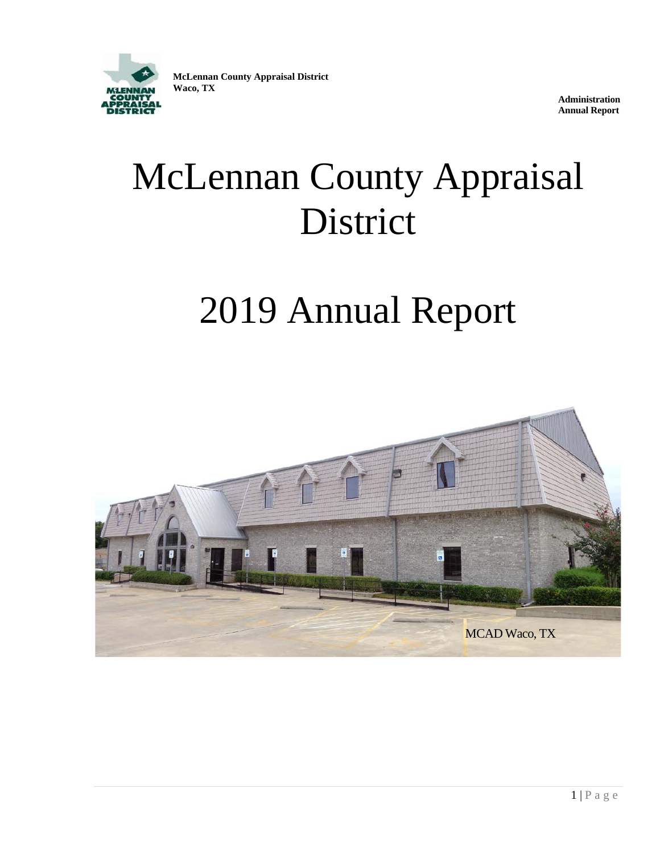

**McLennan County Appraisal District Waco, TX**

**Administration Annual Report**

# McLennan County Appraisal District

# 2019 Annual Report

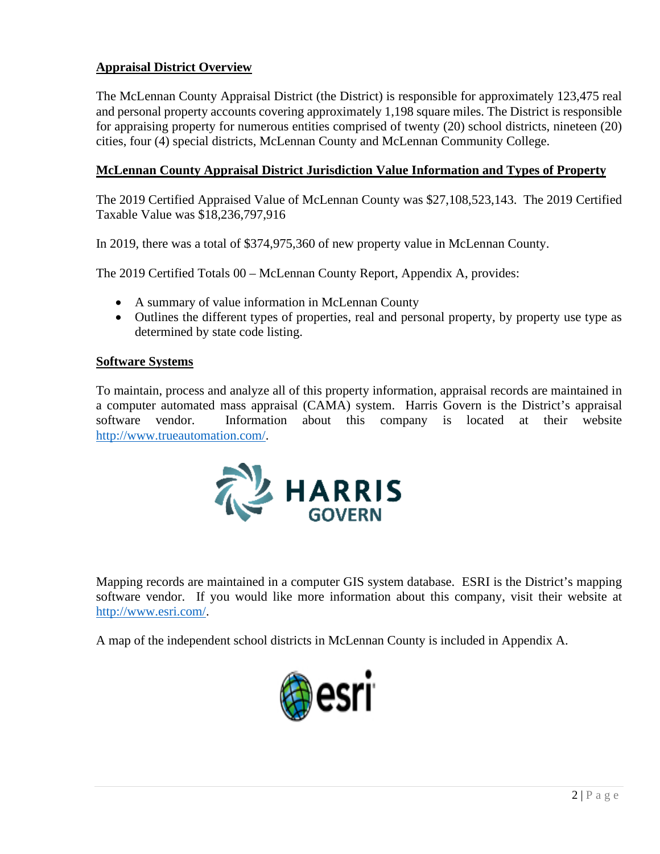# **Appraisal District Overview**

The McLennan County Appraisal District (the District) is responsible for approximately 123,475 real and personal property accounts covering approximately 1,198 square miles. The District is responsible for appraising property for numerous entities comprised of twenty (20) school districts, nineteen (20) cities, four (4) special districts, McLennan County and McLennan Community College.

# **McLennan County Appraisal District Jurisdiction Value Information and Types of Property**

The 2019 Certified Appraised Value of McLennan County was \$27,108,523,143. The 2019 Certified Taxable Value was \$18,236,797,916

In 2019, there was a total of \$374,975,360 of new property value in McLennan County.

The 2019 Certified Totals 00 – McLennan County Report, Appendix A, provides:

- A summary of value information in McLennan County
- Outlines the different types of properties, real and personal property, by property use type as determined by state code listing.

#### **Software Systems**

To maintain, process and analyze all of this property information, appraisal records are maintained in a computer automated mass appraisal (CAMA) system. Harris Govern is the District's appraisal software vendor. Information about this company is located at their website [http://www.trueautomation.com/.](http://www.trueautomation.com/)



Mapping records are maintained in a computer GIS system database. ESRI is the District's mapping software vendor. If you would like more information about this company, visit their website at [http://www.esri.com/.](http://www.esri.com/)

A map of the independent school districts in McLennan County is included in Appendix A.

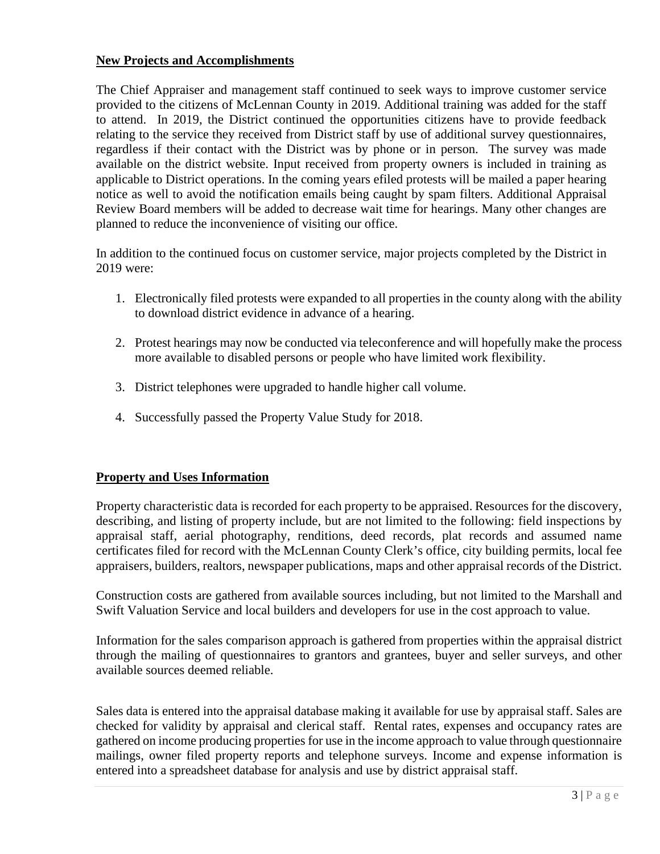#### **New Projects and Accomplishments**

The Chief Appraiser and management staff continued to seek ways to improve customer service provided to the citizens of McLennan County in 2019. Additional training was added for the staff to attend. In 2019, the District continued the opportunities citizens have to provide feedback relating to the service they received from District staff by use of additional survey questionnaires, regardless if their contact with the District was by phone or in person. The survey was made available on the district website. Input received from property owners is included in training as applicable to District operations. In the coming years efiled protests will be mailed a paper hearing notice as well to avoid the notification emails being caught by spam filters. Additional Appraisal Review Board members will be added to decrease wait time for hearings. Many other changes are planned to reduce the inconvenience of visiting our office.

In addition to the continued focus on customer service, major projects completed by the District in 2019 were:

- 1. Electronically filed protests were expanded to all properties in the county along with the ability to download district evidence in advance of a hearing.
- 2. Protest hearings may now be conducted via teleconference and will hopefully make the process more available to disabled persons or people who have limited work flexibility.
- 3. District telephones were upgraded to handle higher call volume.
- 4. Successfully passed the Property Value Study for 2018.

#### **Property and Uses Information**

Property characteristic data is recorded for each property to be appraised. Resources for the discovery, describing, and listing of property include, but are not limited to the following: field inspections by appraisal staff, aerial photography, renditions, deed records, plat records and assumed name certificates filed for record with the McLennan County Clerk's office, city building permits, local fee appraisers, builders, realtors, newspaper publications, maps and other appraisal records of the District.

Construction costs are gathered from available sources including, but not limited to the Marshall and Swift Valuation Service and local builders and developers for use in the cost approach to value.

Information for the sales comparison approach is gathered from properties within the appraisal district through the mailing of questionnaires to grantors and grantees, buyer and seller surveys, and other available sources deemed reliable.

Sales data is entered into the appraisal database making it available for use by appraisal staff. Sales are checked for validity by appraisal and clerical staff. Rental rates, expenses and occupancy rates are gathered on income producing properties for use in the income approach to value through questionnaire mailings, owner filed property reports and telephone surveys. Income and expense information is entered into a spreadsheet database for analysis and use by district appraisal staff.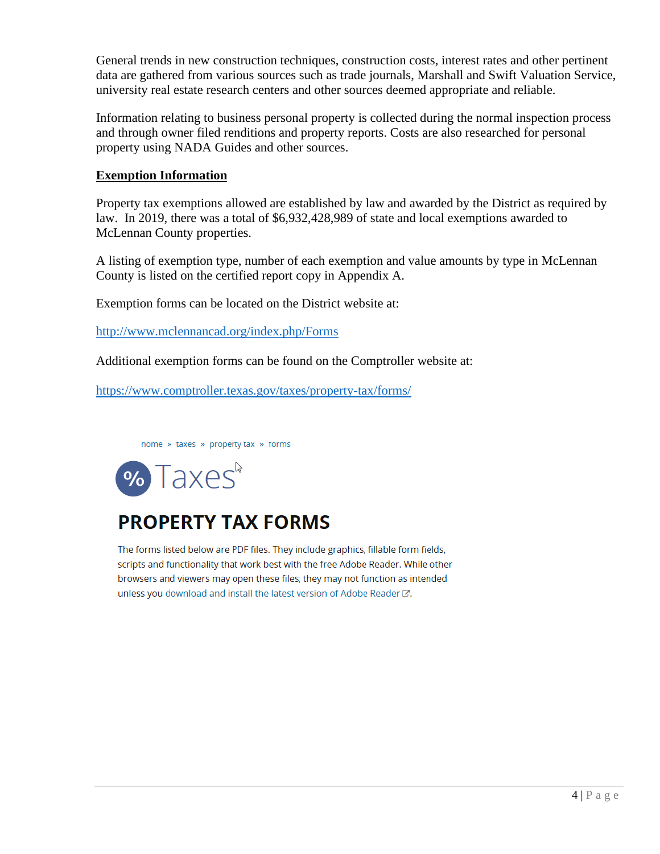General trends in new construction techniques, construction costs, interest rates and other pertinent data are gathered from various sources such as trade journals, Marshall and Swift Valuation Service, university real estate research centers and other sources deemed appropriate and reliable.

Information relating to business personal property is collected during the normal inspection process and through owner filed renditions and property reports. Costs are also researched for personal property using NADA Guides and other sources.

# **Exemption Information**

Property tax exemptions allowed are established by law and awarded by the District as required by law. In 2019, there was a total of \$6,932,428,989 of state and local exemptions awarded to McLennan County properties.

A listing of exemption type, number of each exemption and value amounts by type in McLennan County is listed on the certified report copy in Appendix A.

Exemption forms can be located on the District website at:

<http://www.mclennancad.org/index.php/Forms>

Additional exemption forms can be found on the Comptroller website at:

<https://www.comptroller.texas.gov/taxes/property-tax/forms/>

home » taxes » property tax » forms



# **PROPERTY TAX FORMS**

The forms listed below are PDF files. They include graphics, fillable form fields, scripts and functionality that work best with the free Adobe Reader. While other browsers and viewers may open these files, they may not function as intended unless you download and install the latest version of Adobe Reader C.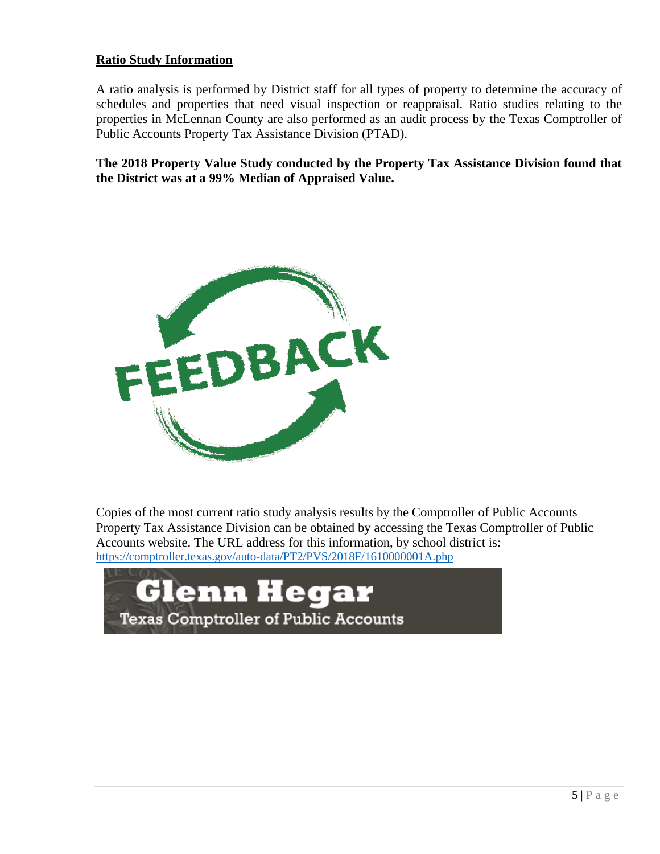#### **Ratio Study Information**

A ratio analysis is performed by District staff for all types of property to determine the accuracy of schedules and properties that need visual inspection or reappraisal. Ratio studies relating to the properties in McLennan County are also performed as an audit process by the Texas Comptroller of Public Accounts Property Tax Assistance Division (PTAD).

**The 2018 Property Value Study conducted by the Property Tax Assistance Division found that the District was at a 99% Median of Appraised Value.**



Copies of the most current ratio study analysis results by the Comptroller of Public Accounts Property Tax Assistance Division can be obtained by accessing the Texas Comptroller of Public Accounts website. The URL address for this information, by school district is: <https://comptroller.texas.gov/auto-data/PT2/PVS/2018F/1610000001A.php>

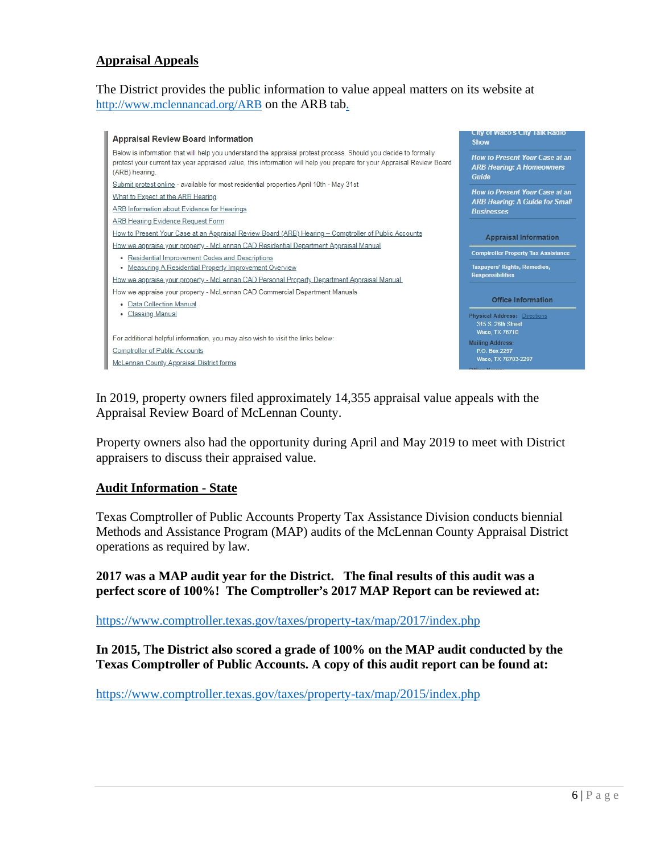#### **Appraisal Appeals**

The District provides the public information to value appeal matters on its website at <http://www.mclennancad.org/ARB> on the ARB tab.



In 2019, property owners filed approximately 14,355 appraisal value appeals with the Appraisal Review Board of McLennan County.

Property owners also had the opportunity during April and May 2019 to meet with District appraisers to discuss their appraised value.

#### **Audit Information - State**

Texas Comptroller of Public Accounts Property Tax Assistance Division conducts biennial Methods and Assistance Program (MAP) audits of the McLennan County Appraisal District operations as required by law.

**2017 was a MAP audit year for the District. The final results of this audit was a perfect score of 100%! The Comptroller's 2017 MAP Report can be reviewed at:**

<https://www.comptroller.texas.gov/taxes/property-tax/map/2017/index.php>

**In 2015,** T**he District also scored a grade of 100% on the MAP audit conducted by the Texas Comptroller of Public Accounts. A copy of this audit report can be found at:** 

<https://www.comptroller.texas.gov/taxes/property-tax/map/2015/index.php>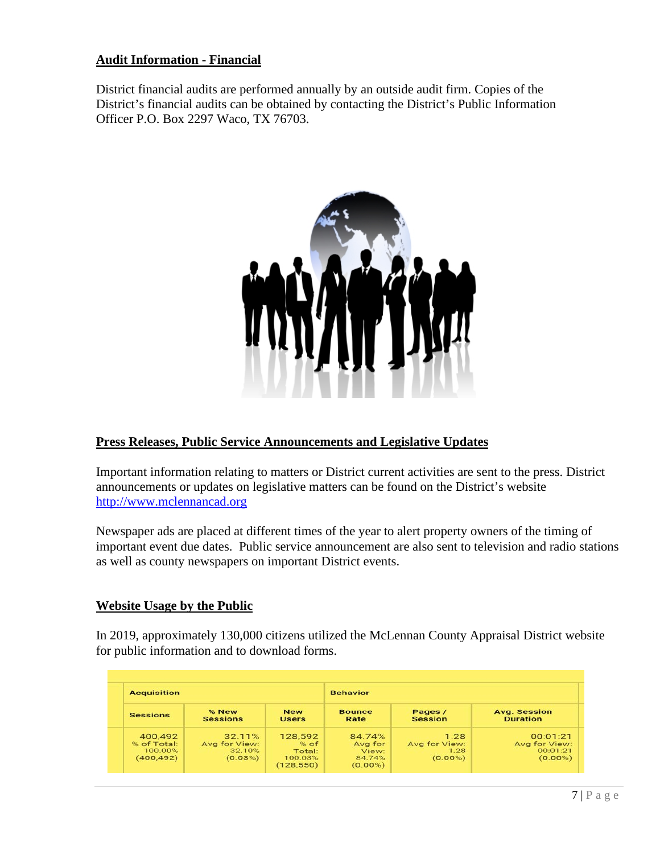#### **Audit Information - Financial**

District financial audits are performed annually by an outside audit firm. Copies of the District's financial audits can be obtained by contacting the District's Public Information Officer P.O. Box 2297 Waco, TX 76703.



#### **Press Releases, Public Service Announcements and Legislative Updates**

Important information relating to matters or District current activities are sent to the press. District announcements or updates on legislative matters can be found on the District's website [http://www.mclennancad.org](http://www.mclennancad.org/)

Newspaper ads are placed at different times of the year to alert property owners of the timing of important event due dates. Public service announcement are also sent to television and radio stations as well as county newspapers on important District events.

#### **Website Usage by the Public**

In 2019, approximately 130,000 citizens utilized the McLennan County Appraisal District website for public information and to download forms.

| <b>Acquisition</b>                              |                                              |                                                    | <b>Behavior</b>                                    |                                             |                                                     |
|-------------------------------------------------|----------------------------------------------|----------------------------------------------------|----------------------------------------------------|---------------------------------------------|-----------------------------------------------------|
| <b>Sessions</b>                                 | % New<br><b>Sessions</b>                     | <b>New</b><br><b>Users</b>                         | <b>Bounce</b><br>Rate                              | Pages /<br>Session                          | <b>Avg. Session</b><br><b>Duration</b>              |
| 400,492<br>% of Total:<br>100.00%<br>(400, 492) | 32.11%<br>Avg for View:<br>32.10%<br>(0.03%) | 128,592<br>% of<br>Total:<br>100.03%<br>(128, 550) | 84.74%<br>Avg for<br>View:<br>84.74%<br>$(0.00\%)$ | 1.28<br>Avg for View:<br>1.28<br>$(0.00\%)$ | 00:01:21<br>Avg for View:<br>00:01:21<br>$(0.00\%)$ |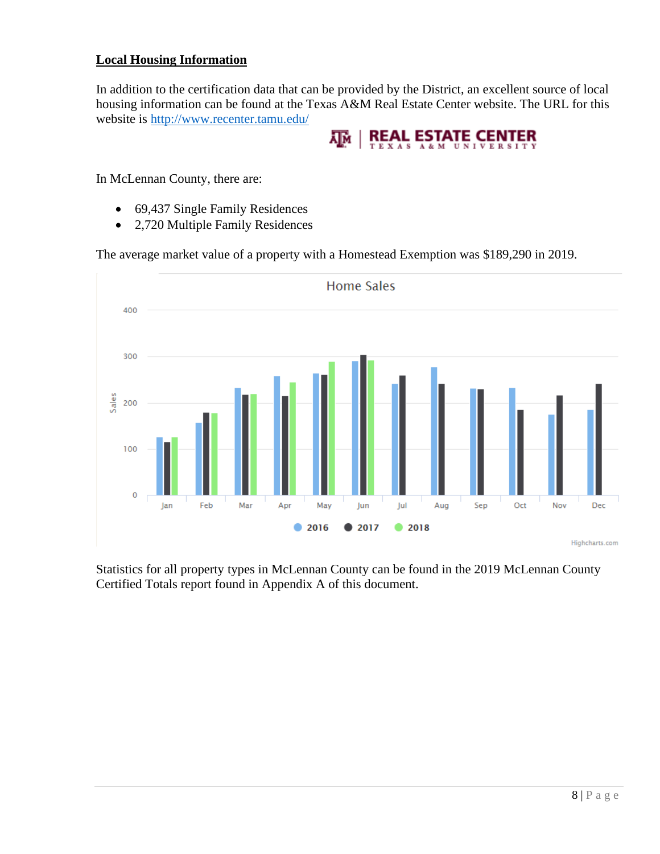# **Local Housing Information**

In addition to the certification data that can be provided by the District, an excellent source of local housing information can be found at the Texas A&M Real Estate Center website. The URL for this website is<http://www.recenter.tamu.edu/>



In McLennan County, there are:

- 69,437 Single Family Residences
- 2,720 Multiple Family Residences

The average market value of a property with a Homestead Exemption was \$189,290 in 2019.



Statistics for all property types in McLennan County can be found in the 2019 McLennan County Certified Totals report found in Appendix A of this document.